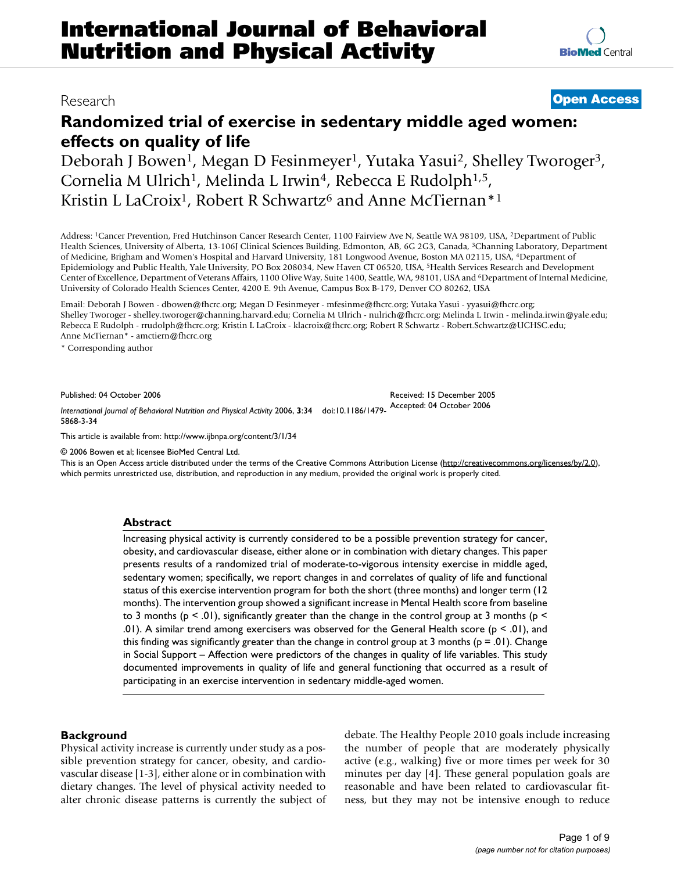# **Randomized trial of exercise in sedentary middle aged women: effects on quality of life**

Deborah J Bowen<sup>1</sup>, Megan D Fesinmeyer<sup>1</sup>, Yutaka Yasui<sup>2</sup>, Shelley Tworoger<sup>3</sup>, Cornelia M Ulrich<sup>1</sup>, Melinda L Irwin<sup>4</sup>, Rebecca E Rudolph<sup>1,5</sup>, Kristin L LaCroix<sup>1</sup>, Robert R Schwartz<sup>6</sup> and Anne McTiernan<sup>\*1</sup>

Address: 1Cancer Prevention, Fred Hutchinson Cancer Research Center, 1100 Fairview Ave N, Seattle WA 98109, USA, 2Department of Public Health Sciences, University of Alberta, 13-106J Clinical Sciences Building, Edmonton, AB, 6G 2G3, Canada, 3Channing Laboratory, Department of Medicine, Brigham and Women's Hospital and Harvard University, 181 Longwood Avenue, Boston MA 02115, USA, 4Department of Epidemiology and Public Health, Yale University, PO Box 208034, New Haven CT 06520, USA, 5Health Services Research and Development Center of Excellence, Department of Veterans Affairs, 1100 Olive Way, Suite 1400, Seattle, WA, 98101, USA and <sup>6</sup>Department of Internal Medicine, University of Colorado Health Sciences Center, 4200 E. 9th Avenue, Campus Box B-179, Denver CO 80262, USA

Email: Deborah J Bowen - dbowen@fhcrc.org; Megan D Fesinmeyer - mfesinme@fhcrc.org; Yutaka Yasui - yyasui@fhcrc.org; Shelley Tworoger - shelley.tworoger@channing.harvard.edu; Cornelia M Ulrich - nulrich@fhcrc.org; Melinda L Irwin - melinda.irwin@yale.edu; Rebecca E Rudolph - rrudolph@fhcrc.org; Kristin L LaCroix - klacroix@fhcrc.org; Robert R Schwartz - Robert.Schwartz@UCHSC.edu; Anne McTiernan\* - amctiern@fhcrc.org

\* Corresponding author

Published: 04 October 2006

*International Journal of Behavioral Nutrition and Physical Activity* 2006, **3**:34 doi:10.1186/1479- Accepted: 04 October 2006 5868-3-34

[This article is available from: http://www.ijbnpa.org/content/3/1/34](http://www.ijbnpa.org/content/3/1/34)

© 2006 Bowen et al; licensee BioMed Central Ltd.

This is an Open Access article distributed under the terms of the Creative Commons Attribution License [\(http://creativecommons.org/licenses/by/2.0\)](http://creativecommons.org/licenses/by/2.0), which permits unrestricted use, distribution, and reproduction in any medium, provided the original work is properly cited.

#### **Abstract**

Increasing physical activity is currently considered to be a possible prevention strategy for cancer, obesity, and cardiovascular disease, either alone or in combination with dietary changes. This paper presents results of a randomized trial of moderate-to-vigorous intensity exercise in middle aged, sedentary women; specifically, we report changes in and correlates of quality of life and functional status of this exercise intervention program for both the short (three months) and longer term (12 months). The intervention group showed a significant increase in Mental Health score from baseline to 3 months ( $p < .01$ ), significantly greater than the change in the control group at 3 months ( $p <$ .01). A similar trend among exercisers was observed for the General Health score ( $p \le 0$ .01), and this finding was significantly greater than the change in control group at 3 months ( $p = .01$ ). Change in Social Support – Affection were predictors of the changes in quality of life variables. This study documented improvements in quality of life and general functioning that occurred as a result of participating in an exercise intervention in sedentary middle-aged women.

#### **Background**

Physical activity increase is currently under study as a possible prevention strategy for cancer, obesity, and cardiovascular disease [1-3], either alone or in combination with dietary changes. The level of physical activity needed to alter chronic disease patterns is currently the subject of debate. The Healthy People 2010 goals include increasing the number of people that are moderately physically active (e.g., walking) five or more times per week for 30 minutes per day [4]. These general population goals are reasonable and have been related to cardiovascular fitness, but they may not be intensive enough to reduce

## Research **[Open Access](http://www.biomedcentral.com/info/about/charter/)**

Received: 15 December 2005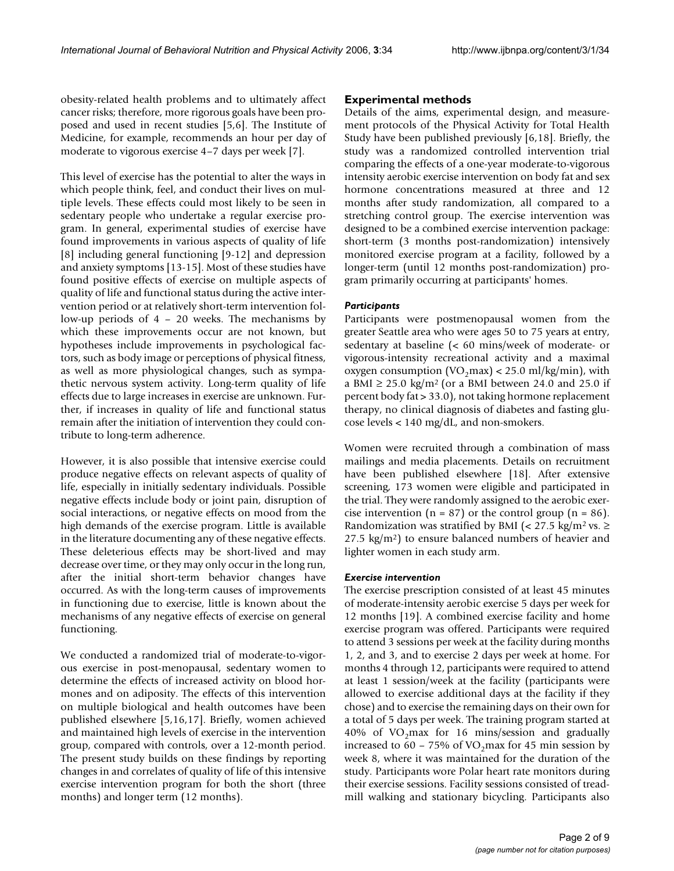obesity-related health problems and to ultimately affect cancer risks; therefore, more rigorous goals have been proposed and used in recent studies [5,6]. The Institute of Medicine, for example, recommends an hour per day of moderate to vigorous exercise 4–7 days per week [7].

This level of exercise has the potential to alter the ways in which people think, feel, and conduct their lives on multiple levels. These effects could most likely to be seen in sedentary people who undertake a regular exercise program. In general, experimental studies of exercise have found improvements in various aspects of quality of life [8] including general functioning [9-12] and depression and anxiety symptoms [13-15]. Most of these studies have found positive effects of exercise on multiple aspects of quality of life and functional status during the active intervention period or at relatively short-term intervention follow-up periods of 4 – 20 weeks. The mechanisms by which these improvements occur are not known, but hypotheses include improvements in psychological factors, such as body image or perceptions of physical fitness, as well as more physiological changes, such as sympathetic nervous system activity. Long-term quality of life effects due to large increases in exercise are unknown. Further, if increases in quality of life and functional status remain after the initiation of intervention they could contribute to long-term adherence.

However, it is also possible that intensive exercise could produce negative effects on relevant aspects of quality of life, especially in initially sedentary individuals. Possible negative effects include body or joint pain, disruption of social interactions, or negative effects on mood from the high demands of the exercise program. Little is available in the literature documenting any of these negative effects. These deleterious effects may be short-lived and may decrease over time, or they may only occur in the long run, after the initial short-term behavior changes have occurred. As with the long-term causes of improvements in functioning due to exercise, little is known about the mechanisms of any negative effects of exercise on general functioning.

We conducted a randomized trial of moderate-to-vigorous exercise in post-menopausal, sedentary women to determine the effects of increased activity on blood hormones and on adiposity. The effects of this intervention on multiple biological and health outcomes have been published elsewhere [5,16,17]. Briefly, women achieved and maintained high levels of exercise in the intervention group, compared with controls, over a 12-month period. The present study builds on these findings by reporting changes in and correlates of quality of life of this intensive exercise intervention program for both the short (three months) and longer term (12 months).

### **Experimental methods**

Details of the aims, experimental design, and measurement protocols of the Physical Activity for Total Health Study have been published previously [6,18]. Briefly, the study was a randomized controlled intervention trial comparing the effects of a one-year moderate-to-vigorous intensity aerobic exercise intervention on body fat and sex hormone concentrations measured at three and 12 months after study randomization, all compared to a stretching control group. The exercise intervention was designed to be a combined exercise intervention package: short-term (3 months post-randomization) intensively monitored exercise program at a facility, followed by a longer-term (until 12 months post-randomization) program primarily occurring at participants' homes.

#### *Participants*

Participants were postmenopausal women from the greater Seattle area who were ages 50 to 75 years at entry, sedentary at baseline (< 60 mins/week of moderate- or vigorous-intensity recreational activity and a maximal oxygen consumption (VO<sub>2</sub>max) <  $25.0$  ml/kg/min), with a BMI  $\geq$  25.0 kg/m<sup>2</sup> (or a BMI between 24.0 and 25.0 if percent body fat > 33.0), not taking hormone replacement therapy, no clinical diagnosis of diabetes and fasting glucose levels < 140 mg/dL, and non-smokers.

Women were recruited through a combination of mass mailings and media placements. Details on recruitment have been published elsewhere [18]. After extensive screening, 173 women were eligible and participated in the trial. They were randomly assigned to the aerobic exercise intervention ( $n = 87$ ) or the control group ( $n = 86$ ). Randomization was stratified by BMI (< 27.5 kg/m<sup>2</sup> vs. ≥  $27.5 \text{ kg/m}^2$ ) to ensure balanced numbers of heavier and lighter women in each study arm.

#### *Exercise intervention*

The exercise prescription consisted of at least 45 minutes of moderate-intensity aerobic exercise 5 days per week for 12 months [19]. A combined exercise facility and home exercise program was offered. Participants were required to attend 3 sessions per week at the facility during months 1, 2, and 3, and to exercise 2 days per week at home. For months 4 through 12, participants were required to attend at least 1 session/week at the facility (participants were allowed to exercise additional days at the facility if they chose) and to exercise the remaining days on their own for a total of 5 days per week. The training program started at 40% of  $VO<sub>2</sub>max$  for 16 mins/session and gradually increased to  $60 - 75\%$  of VO<sub>2</sub>max for 45 min session by week 8, where it was maintained for the duration of the study. Participants wore Polar heart rate monitors during their exercise sessions. Facility sessions consisted of treadmill walking and stationary bicycling. Participants also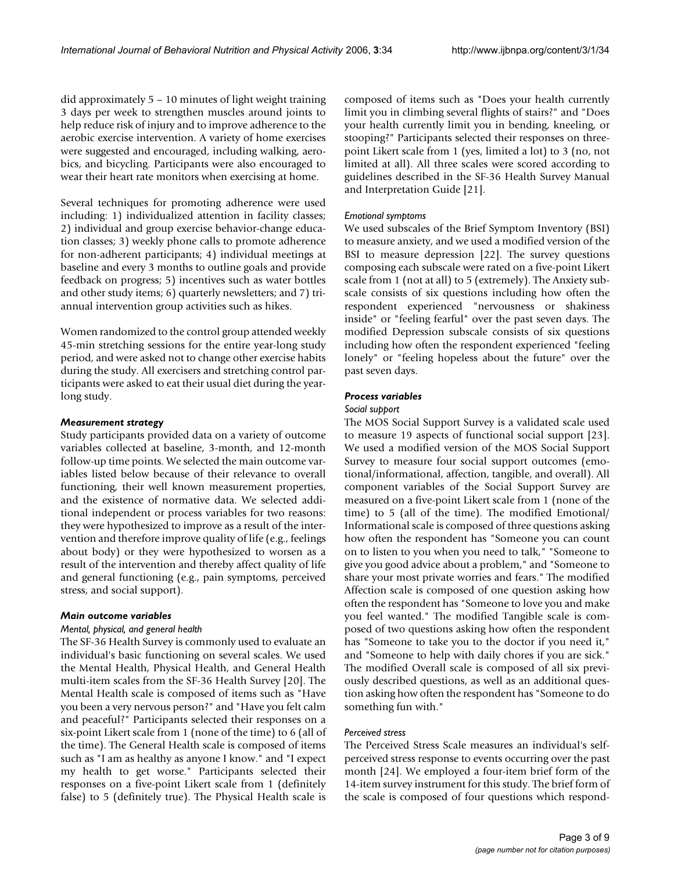did approximately 5 – 10 minutes of light weight training 3 days per week to strengthen muscles around joints to help reduce risk of injury and to improve adherence to the aerobic exercise intervention. A variety of home exercises were suggested and encouraged, including walking, aerobics, and bicycling. Participants were also encouraged to wear their heart rate monitors when exercising at home.

Several techniques for promoting adherence were used including: 1) individualized attention in facility classes; 2) individual and group exercise behavior-change education classes; 3) weekly phone calls to promote adherence for non-adherent participants; 4) individual meetings at baseline and every 3 months to outline goals and provide feedback on progress; 5) incentives such as water bottles and other study items; 6) quarterly newsletters; and 7) triannual intervention group activities such as hikes.

Women randomized to the control group attended weekly 45-min stretching sessions for the entire year-long study period, and were asked not to change other exercise habits during the study. All exercisers and stretching control participants were asked to eat their usual diet during the yearlong study.

#### *Measurement strategy*

Study participants provided data on a variety of outcome variables collected at baseline, 3-month, and 12-month follow-up time points. We selected the main outcome variables listed below because of their relevance to overall functioning, their well known measurement properties, and the existence of normative data. We selected additional independent or process variables for two reasons: they were hypothesized to improve as a result of the intervention and therefore improve quality of life (e.g., feelings about body) or they were hypothesized to worsen as a result of the intervention and thereby affect quality of life and general functioning (e.g., pain symptoms, perceived stress, and social support).

#### *Main outcome variables*

#### *Mental, physical, and general health*

The SF-36 Health Survey is commonly used to evaluate an individual's basic functioning on several scales. We used the Mental Health, Physical Health, and General Health multi-item scales from the SF-36 Health Survey [20]. The Mental Health scale is composed of items such as "Have you been a very nervous person?" and "Have you felt calm and peaceful?" Participants selected their responses on a six-point Likert scale from 1 (none of the time) to 6 (all of the time). The General Health scale is composed of items such as "I am as healthy as anyone I know." and "I expect my health to get worse." Participants selected their responses on a five-point Likert scale from 1 (definitely false) to 5 (definitely true). The Physical Health scale is composed of items such as "Does your health currently limit you in climbing several flights of stairs?" and "Does your health currently limit you in bending, kneeling, or stooping?" Participants selected their responses on threepoint Likert scale from 1 (yes, limited a lot) to 3 (no, not limited at all). All three scales were scored according to guidelines described in the SF-36 Health Survey Manual and Interpretation Guide [21].

#### *Emotional symptoms*

We used subscales of the Brief Symptom Inventory (BSI) to measure anxiety, and we used a modified version of the BSI to measure depression [22]. The survey questions composing each subscale were rated on a five-point Likert scale from 1 (not at all) to 5 (extremely). The Anxiety subscale consists of six questions including how often the respondent experienced "nervousness or shakiness inside" or "feeling fearful" over the past seven days. The modified Depression subscale consists of six questions including how often the respondent experienced "feeling lonely" or "feeling hopeless about the future" over the past seven days.

#### *Process variables*

#### *Social support*

The MOS Social Support Survey is a validated scale used to measure 19 aspects of functional social support [23]. We used a modified version of the MOS Social Support Survey to measure four social support outcomes (emotional/informational, affection, tangible, and overall). All component variables of the Social Support Survey are measured on a five-point Likert scale from 1 (none of the time) to 5 (all of the time). The modified Emotional/ Informational scale is composed of three questions asking how often the respondent has "Someone you can count on to listen to you when you need to talk," "Someone to give you good advice about a problem," and "Someone to share your most private worries and fears." The modified Affection scale is composed of one question asking how often the respondent has "Someone to love you and make you feel wanted." The modified Tangible scale is composed of two questions asking how often the respondent has "Someone to take you to the doctor if you need it," and "Someone to help with daily chores if you are sick." The modified Overall scale is composed of all six previously described questions, as well as an additional question asking how often the respondent has "Someone to do something fun with."

#### *Perceived stress*

The Perceived Stress Scale measures an individual's selfperceived stress response to events occurring over the past month [24]. We employed a four-item brief form of the 14-item survey instrument for this study. The brief form of the scale is composed of four questions which respond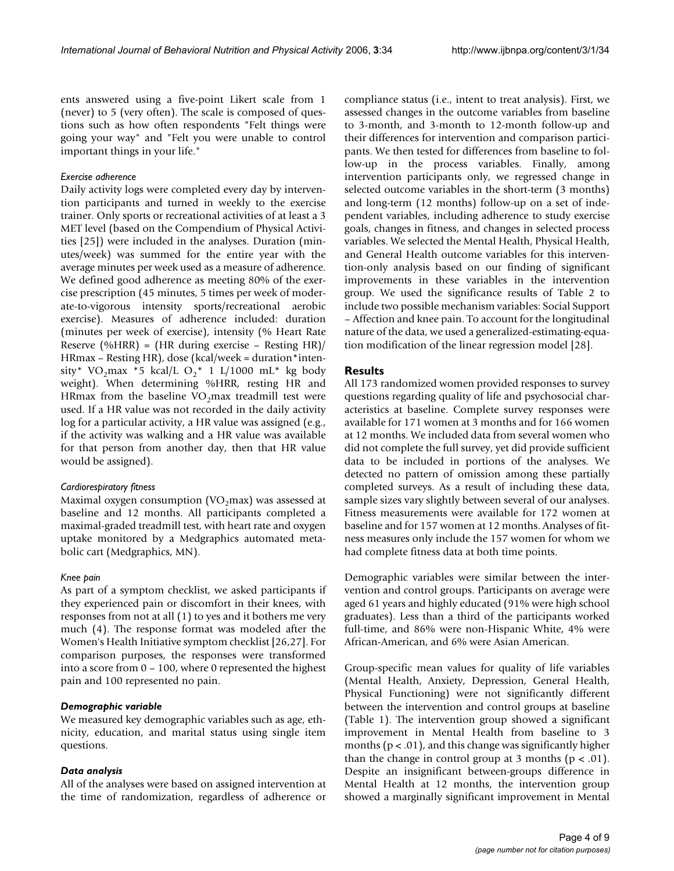ents answered using a five-point Likert scale from 1 (never) to 5 (very often). The scale is composed of questions such as how often respondents "Felt things were going your way" and "Felt you were unable to control important things in your life."

#### *Exercise adherence*

Daily activity logs were completed every day by intervention participants and turned in weekly to the exercise trainer. Only sports or recreational activities of at least a 3 MET level (based on the Compendium of Physical Activities [25]) were included in the analyses. Duration (minutes/week) was summed for the entire year with the average minutes per week used as a measure of adherence. We defined good adherence as meeting 80% of the exercise prescription (45 minutes, 5 times per week of moderate-to-vigorous intensity sports/recreational aerobic exercise). Measures of adherence included: duration (minutes per week of exercise), intensity (% Heart Rate Reserve (%HRR) = (HR during exercise – Resting HR)/ HRmax – Resting HR), dose (kcal/week = duration\*intensity\* VO<sub>2</sub>max \*5 kcal/L O<sub>2</sub>\* 1 L/1000 mL\* kg body weight). When determining %HRR, resting HR and HRmax from the baseline  $VO_2$ max treadmill test were used. If a HR value was not recorded in the daily activity log for a particular activity, a HR value was assigned (e.g., if the activity was walking and a HR value was available for that person from another day, then that HR value would be assigned).

#### *Cardiorespiratory fitness*

Maximal oxygen consumption ( $VO<sub>2</sub>$ max) was assessed at baseline and 12 months. All participants completed a maximal-graded treadmill test, with heart rate and oxygen uptake monitored by a Medgraphics automated metabolic cart (Medgraphics, MN).

#### *Knee pain*

As part of a symptom checklist, we asked participants if they experienced pain or discomfort in their knees, with responses from not at all (1) to yes and it bothers me very much (4). The response format was modeled after the Women's Health Initiative symptom checklist [26,27]. For comparison purposes, the responses were transformed into a score from 0 – 100, where 0 represented the highest pain and 100 represented no pain.

#### *Demographic variable*

We measured key demographic variables such as age, ethnicity, education, and marital status using single item questions.

#### *Data analysis*

All of the analyses were based on assigned intervention at the time of randomization, regardless of adherence or compliance status (i.e., intent to treat analysis). First, we assessed changes in the outcome variables from baseline to 3-month, and 3-month to 12-month follow-up and their differences for intervention and comparison participants. We then tested for differences from baseline to follow-up in the process variables. Finally, among intervention participants only, we regressed change in selected outcome variables in the short-term (3 months) and long-term (12 months) follow-up on a set of independent variables, including adherence to study exercise goals, changes in fitness, and changes in selected process variables. We selected the Mental Health, Physical Health, and General Health outcome variables for this intervention-only analysis based on our finding of significant improvements in these variables in the intervention group. We used the significance results of Table 2 to include two possible mechanism variables: Social Support – Affection and knee pain. To account for the longitudinal nature of the data, we used a generalized-estimating-equation modification of the linear regression model [28].

#### **Results**

All 173 randomized women provided responses to survey questions regarding quality of life and psychosocial characteristics at baseline. Complete survey responses were available for 171 women at 3 months and for 166 women at 12 months. We included data from several women who did not complete the full survey, yet did provide sufficient data to be included in portions of the analyses. We detected no pattern of omission among these partially completed surveys. As a result of including these data, sample sizes vary slightly between several of our analyses. Fitness measurements were available for 172 women at baseline and for 157 women at 12 months. Analyses of fitness measures only include the 157 women for whom we had complete fitness data at both time points.

Demographic variables were similar between the intervention and control groups. Participants on average were aged 61 years and highly educated (91% were high school graduates). Less than a third of the participants worked full-time, and 86% were non-Hispanic White, 4% were African-American, and 6% were Asian American.

Group-specific mean values for quality of life variables (Mental Health, Anxiety, Depression, General Health, Physical Functioning) were not significantly different between the intervention and control groups at baseline (Table 1). The intervention group showed a significant improvement in Mental Health from baseline to 3 months ( $p < .01$ ), and this change was significantly higher than the change in control group at 3 months ( $p < .01$ ). Despite an insignificant between-groups difference in Mental Health at 12 months, the intervention group showed a marginally significant improvement in Mental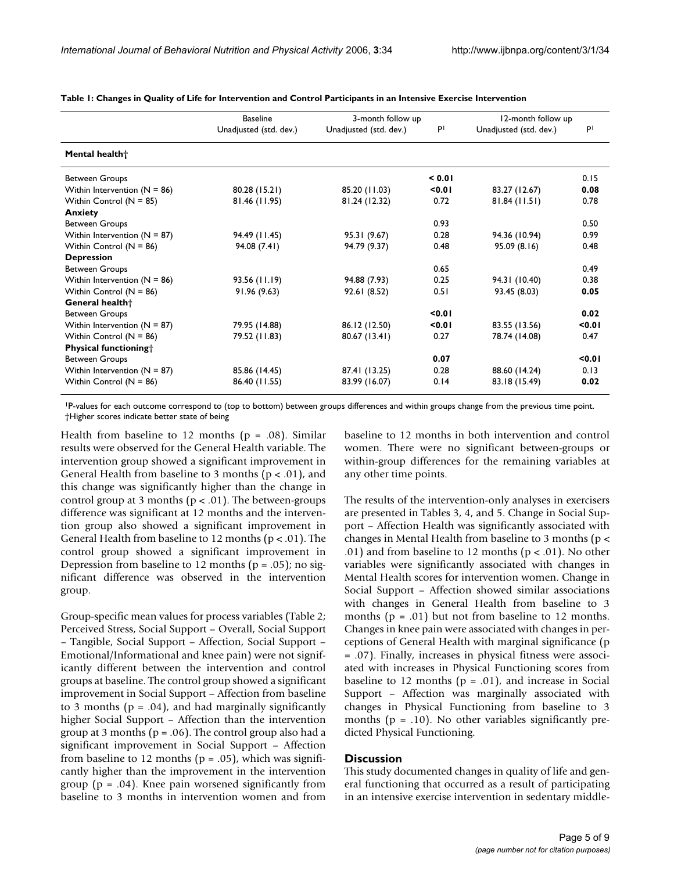|                                  | <b>Baseline</b>        | 3-month follow up      |                | 12-month follow up     |                |
|----------------------------------|------------------------|------------------------|----------------|------------------------|----------------|
|                                  | Unadjusted (std. dev.) | Unadjusted (std. dev.) | P <sup>1</sup> | Unadjusted (std. dev.) | P <sup>1</sup> |
| Mental health <sup>+</sup>       |                        |                        |                |                        |                |
| <b>Between Groups</b>            |                        |                        | 0.01           |                        | 0.15           |
| Within Intervention ( $N = 86$ ) | 80.28 (15.21)          | 85.20 (11.03)          | < 0.01         | 83.27 (12.67)          | 0.08           |
| Within Control $(N = 85)$        | 81.46 (11.95)          | 81.24 (12.32)          | 0.72           | 81.84(11.51)           | 0.78           |
| <b>Anxiety</b>                   |                        |                        |                |                        |                |
| <b>Between Groups</b>            |                        |                        | 0.93           |                        | 0.50           |
| Within Intervention ( $N = 87$ ) | 94.49 (11.45)          | 95.31 (9.67)           | 0.28           | 94.36 (10.94)          | 0.99           |
| Within Control $(N = 86)$        | 94.08 (7.41)           | 94.79 (9.37)           | 0.48           | 95.09 (8.16)           | 0.48           |
| <b>Depression</b>                |                        |                        |                |                        |                |
| <b>Between Groups</b>            |                        |                        | 0.65           |                        | 0.49           |
| Within Intervention ( $N = 86$ ) | 93.56 (11.19)          | 94.88 (7.93)           | 0.25           | 94.31 (10.40)          | 0.38           |
| Within Control $(N = 86)$        | 91.96 (9.63)           | 92.61 (8.52)           | 0.51           | 93.45 (8.03)           | 0.05           |
| General health <sup>+</sup>      |                        |                        |                |                        |                |
| <b>Between Groups</b>            |                        |                        | 50.01          |                        | 0.02           |
| Within Intervention ( $N = 87$ ) | 79.95 (14.88)          | 86.12 (12.50)          | < 0.01         | 83.55 (13.56)          | 0.01           |
| Within Control $(N = 86)$        | 79.52 (11.83)          | 80.67 (13.41)          | 0.27           | 78.74 (14.08)          | 0.47           |
| <b>Physical functioning</b> †    |                        |                        |                |                        |                |
| <b>Between Groups</b>            |                        |                        | 0.07           |                        | 0.01           |
| Within Intervention ( $N = 87$ ) | 85.86 (14.45)          | 87.41 (13.25)          | 0.28           | 88.60 (14.24)          | 0.13           |
| Within Control $(N = 86)$        | 86.40 (11.55)          | 83.99 (16.07)          | 0.14           | 83.18 (15.49)          | 0.02           |

**Table 1: Changes in Quality of Life for Intervention and Control Participants in an Intensive Exercise Intervention**

1P-values for each outcome correspond to (top to bottom) between groups differences and within groups change from the previous time point. †Higher scores indicate better state of being

Health from baseline to 12 months ( $p = .08$ ). Similar results were observed for the General Health variable. The intervention group showed a significant improvement in General Health from baseline to 3 months ( $p < .01$ ), and this change was significantly higher than the change in control group at 3 months ( $p < .01$ ). The between-groups difference was significant at 12 months and the intervention group also showed a significant improvement in General Health from baseline to 12 months ( $p < .01$ ). The control group showed a significant improvement in Depression from baseline to 12 months ( $p = .05$ ); no significant difference was observed in the intervention group.

Group-specific mean values for process variables (Table 2; Perceived Stress, Social Support – Overall, Social Support – Tangible, Social Support – Affection, Social Support – Emotional/Informational and knee pain) were not significantly different between the intervention and control groups at baseline. The control group showed a significant improvement in Social Support – Affection from baseline to 3 months ( $p = .04$ ), and had marginally significantly higher Social Support – Affection than the intervention group at 3 months ( $p = .06$ ). The control group also had a significant improvement in Social Support – Affection from baseline to 12 months ( $p = .05$ ), which was significantly higher than the improvement in the intervention group ( $p = .04$ ). Knee pain worsened significantly from baseline to 3 months in intervention women and from

baseline to 12 months in both intervention and control women. There were no significant between-groups or within-group differences for the remaining variables at any other time points.

The results of the intervention-only analyses in exercisers are presented in Tables 3, 4, and 5. Change in Social Support – Affection Health was significantly associated with changes in Mental Health from baseline to 3 months (p < .01) and from baseline to 12 months ( $p < .01$ ). No other variables were significantly associated with changes in Mental Health scores for intervention women. Change in Social Support – Affection showed similar associations with changes in General Health from baseline to 3 months ( $p = .01$ ) but not from baseline to 12 months. Changes in knee pain were associated with changes in perceptions of General Health with marginal significance (p = .07). Finally, increases in physical fitness were associated with increases in Physical Functioning scores from baseline to 12 months ( $p = .01$ ), and increase in Social Support – Affection was marginally associated with changes in Physical Functioning from baseline to 3 months ( $p = .10$ ). No other variables significantly predicted Physical Functioning.

#### **Discussion**

This study documented changes in quality of life and general functioning that occurred as a result of participating in an intensive exercise intervention in sedentary middle-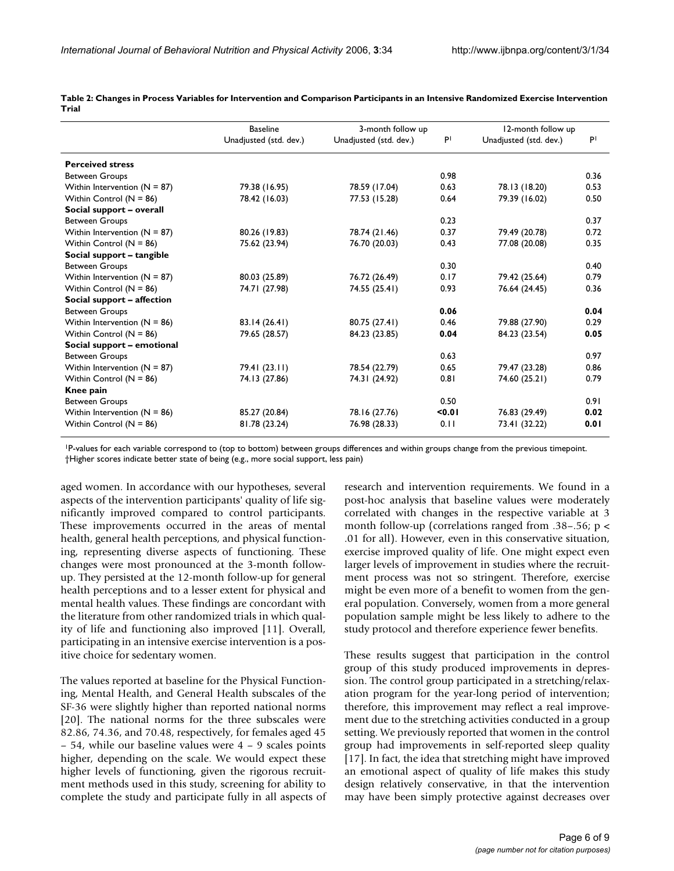|                                  | <b>Baseline</b>        | 3-month follow up      |                | 12-month follow up     |                |
|----------------------------------|------------------------|------------------------|----------------|------------------------|----------------|
|                                  | Unadjusted (std. dev.) | Unadjusted (std. dev.) | P <sup>1</sup> | Unadjusted (std. dev.) | P <sup>1</sup> |
| <b>Perceived stress</b>          |                        |                        |                |                        |                |
| <b>Between Groups</b>            |                        |                        | 0.98           |                        | 0.36           |
| Within Intervention ( $N = 87$ ) | 79.38 (16.95)          | 78.59 (17.04)          | 0.63           | 78.13 (18.20)          | 0.53           |
| Within Control $(N = 86)$        | 78.42 (16.03)          | 77.53 (15.28)          | 0.64           | 79.39 (16.02)          | 0.50           |
| Social support - overall         |                        |                        |                |                        |                |
| <b>Between Groups</b>            |                        |                        | 0.23           |                        | 0.37           |
| Within Intervention ( $N = 87$ ) | 80.26 (19.83)          | 78.74 (21.46)          | 0.37           | 79.49 (20.78)          | 0.72           |
| Within Control $(N = 86)$        | 75.62 (23.94)          | 76.70 (20.03)          | 0.43           | 77.08 (20.08)          | 0.35           |
| Social support - tangible        |                        |                        |                |                        |                |
| <b>Between Groups</b>            |                        |                        | 0.30           |                        | 0.40           |
| Within Intervention ( $N = 87$ ) | 80.03 (25.89)          | 76.72 (26.49)          | 0.17           | 79.42 (25.64)          | 0.79           |
| Within Control $(N = 86)$        | 74.71 (27.98)          | 74.55 (25.41)          | 0.93           | 76.64 (24.45)          | 0.36           |
| Social support - affection       |                        |                        |                |                        |                |
| <b>Between Groups</b>            |                        |                        | 0.06           |                        | 0.04           |
| Within Intervention ( $N = 86$ ) | 83.14 (26.41)          | 80.75 (27.41)          | 0.46           | 79.88 (27.90)          | 0.29           |
| Within Control $(N = 86)$        | 79.65 (28.57)          | 84.23 (23.85)          | 0.04           | 84.23 (23.54)          | 0.05           |
| Social support - emotional       |                        |                        |                |                        |                |
| <b>Between Groups</b>            |                        |                        | 0.63           |                        | 0.97           |
| Within Intervention ( $N = 87$ ) | 79.41 (23.11)          | 78.54 (22.79)          | 0.65           | 79.47 (23.28)          | 0.86           |
| Within Control $(N = 86)$        | 74.13 (27.86)          | 74.31 (24.92)          | 0.81           | 74.60 (25.21)          | 0.79           |
| Knee pain                        |                        |                        |                |                        |                |
| <b>Between Groups</b>            |                        |                        | 0.50           |                        | 0.91           |
| Within Intervention ( $N = 86$ ) | 85.27 (20.84)          | 78.16 (27.76)          | < 0.01         | 76.83 (29.49)          | 0.02           |
| Within Control $(N = 86)$        | 81.78 (23.24)          | 76.98 (28.33)          | 0.11           | 73.41 (32.22)          | 0.01           |

**Table 2: Changes in Process Variables for Intervention and Comparison Participants in an Intensive Randomized Exercise Intervention Trial**

<sup>1</sup>P-values for each variable correspond to (top to bottom) between groups differences and within groups change from the previous timepoint. †Higher scores indicate better state of being (e.g., more social support, less pain)

aged women. In accordance with our hypotheses, several aspects of the intervention participants' quality of life significantly improved compared to control participants. These improvements occurred in the areas of mental health, general health perceptions, and physical functioning, representing diverse aspects of functioning. These changes were most pronounced at the 3-month followup. They persisted at the 12-month follow-up for general health perceptions and to a lesser extent for physical and mental health values. These findings are concordant with the literature from other randomized trials in which quality of life and functioning also improved [11]. Overall, participating in an intensive exercise intervention is a positive choice for sedentary women.

The values reported at baseline for the Physical Functioning, Mental Health, and General Health subscales of the SF-36 were slightly higher than reported national norms [20]. The national norms for the three subscales were 82.86, 74.36, and 70.48, respectively, for females aged 45 – 54, while our baseline values were 4 – 9 scales points higher, depending on the scale. We would expect these higher levels of functioning, given the rigorous recruitment methods used in this study, screening for ability to complete the study and participate fully in all aspects of research and intervention requirements. We found in a post-hoc analysis that baseline values were moderately correlated with changes in the respective variable at 3 month follow-up (correlations ranged from .38–.56; p < .01 for all). However, even in this conservative situation, exercise improved quality of life. One might expect even larger levels of improvement in studies where the recruitment process was not so stringent. Therefore, exercise might be even more of a benefit to women from the general population. Conversely, women from a more general population sample might be less likely to adhere to the study protocol and therefore experience fewer benefits.

These results suggest that participation in the control group of this study produced improvements in depression. The control group participated in a stretching/relaxation program for the year-long period of intervention; therefore, this improvement may reflect a real improvement due to the stretching activities conducted in a group setting. We previously reported that women in the control group had improvements in self-reported sleep quality [17]. In fact, the idea that stretching might have improved an emotional aspect of quality of life makes this study design relatively conservative, in that the intervention may have been simply protective against decreases over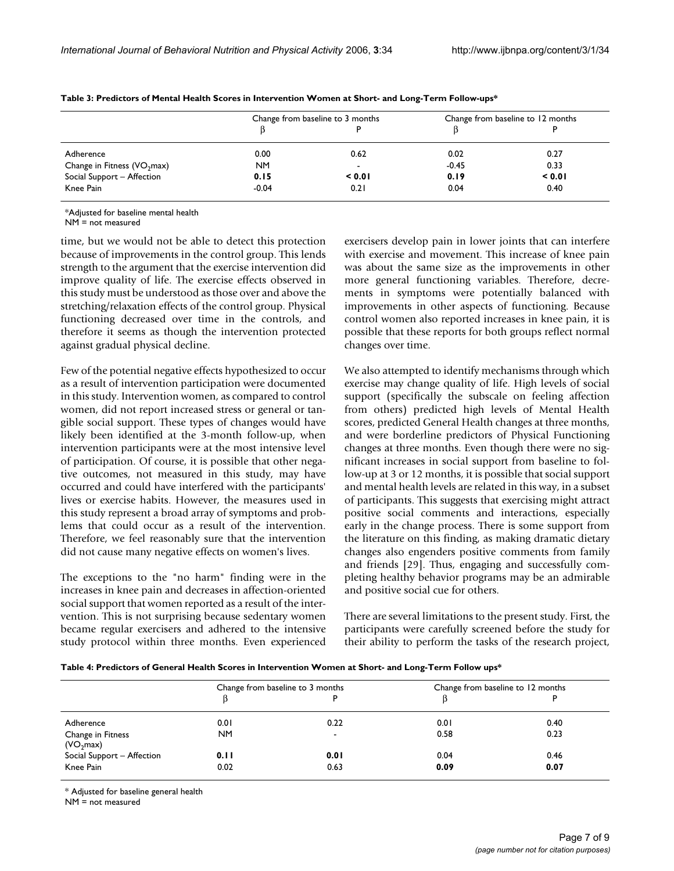|                                | Change from baseline to 3 months |                          | Change from baseline to 12 months |        |
|--------------------------------|----------------------------------|--------------------------|-----------------------------------|--------|
|                                |                                  |                          |                                   |        |
| Adherence                      | 0.00                             | 0.62                     | 0.02                              | 0.27   |
| Change in Fitness ( $VO2$ max) | <b>NM</b>                        | $\overline{\phantom{a}}$ | $-0.45$                           | 0.33   |
| Social Support - Affection     | 0.15                             | < 0.01                   | 0.19                              | < 0.01 |
| Knee Pain                      | $-0.04$                          | 0.21                     | 0.04                              | 0.40   |

**Table 3: Predictors of Mental Health Scores in Intervention Women at Short- and Long-Term Follow-ups\***

\*Adjusted for baseline mental health

NM = not measured

time, but we would not be able to detect this protection because of improvements in the control group. This lends strength to the argument that the exercise intervention did improve quality of life. The exercise effects observed in this study must be understood as those over and above the stretching/relaxation effects of the control group. Physical functioning decreased over time in the controls, and therefore it seems as though the intervention protected against gradual physical decline.

Few of the potential negative effects hypothesized to occur as a result of intervention participation were documented in this study. Intervention women, as compared to control women, did not report increased stress or general or tangible social support. These types of changes would have likely been identified at the 3-month follow-up, when intervention participants were at the most intensive level of participation. Of course, it is possible that other negative outcomes, not measured in this study, may have occurred and could have interfered with the participants' lives or exercise habits. However, the measures used in this study represent a broad array of symptoms and problems that could occur as a result of the intervention. Therefore, we feel reasonably sure that the intervention did not cause many negative effects on women's lives.

The exceptions to the "no harm" finding were in the increases in knee pain and decreases in affection-oriented social support that women reported as a result of the intervention. This is not surprising because sedentary women became regular exercisers and adhered to the intensive study protocol within three months. Even experienced exercisers develop pain in lower joints that can interfere with exercise and movement. This increase of knee pain was about the same size as the improvements in other more general functioning variables. Therefore, decrements in symptoms were potentially balanced with improvements in other aspects of functioning. Because control women also reported increases in knee pain, it is possible that these reports for both groups reflect normal changes over time.

We also attempted to identify mechanisms through which exercise may change quality of life. High levels of social support (specifically the subscale on feeling affection from others) predicted high levels of Mental Health scores, predicted General Health changes at three months, and were borderline predictors of Physical Functioning changes at three months. Even though there were no significant increases in social support from baseline to follow-up at 3 or 12 months, it is possible that social support and mental health levels are related in this way, in a subset of participants. This suggests that exercising might attract positive social comments and interactions, especially early in the change process. There is some support from the literature on this finding, as making dramatic dietary changes also engenders positive comments from family and friends [29]. Thus, engaging and successfully completing healthy behavior programs may be an admirable and positive social cue for others.

There are several limitations to the present study. First, the participants were carefully screened before the study for their ability to perform the tasks of the research project,

| *Table 4: Predictors of General Health Scores in Intervention Women at Short- and Long-Term Follow ups |  |  |  |
|--------------------------------------------------------------------------------------------------------|--|--|--|
|                                                                                                        |  |  |  |

|                                            | Change from baseline to 3 months |                          | Change from baseline to 12 months |      |
|--------------------------------------------|----------------------------------|--------------------------|-----------------------------------|------|
|                                            |                                  |                          | ß                                 |      |
| Adherence                                  | 0.01                             | 0.22                     | 0.01                              | 0.40 |
| Change in Fitness<br>(VO <sub>2</sub> max) | <b>NM</b>                        | $\overline{\phantom{a}}$ | 0.58                              | 0.23 |
| Social Support - Affection                 | 0.11                             | 0.01                     | 0.04                              | 0.46 |
| Knee Pain                                  | 0.02                             | 0.63                     | 0.09                              | 0.07 |

\* Adjusted for baseline general health

 $NM = not measured$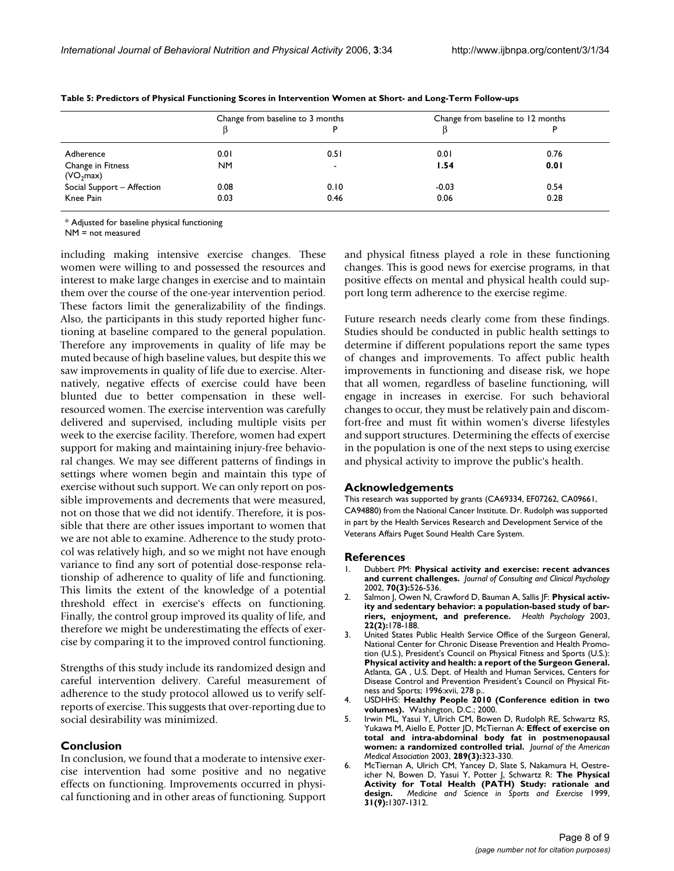|                                   | Change from baseline to 3 months |                          | Change from baseline to 12 months |      |
|-----------------------------------|----------------------------------|--------------------------|-----------------------------------|------|
|                                   | ß                                |                          |                                   |      |
| Adherence                         | 0.01                             | 0.51                     | 0.01                              | 0.76 |
| Change in Fitness<br>$(VO_2$ max) | <b>NM</b>                        | $\overline{\phantom{0}}$ | 1.54                              | 0.01 |
| Social Support - Affection        | 0.08                             | 0.10                     | $-0.03$                           | 0.54 |
| Knee Pain                         | 0.03                             | 0.46                     | 0.06                              | 0.28 |

**Table 5: Predictors of Physical Functioning Scores in Intervention Women at Short- and Long-Term Follow-ups**

\* Adjusted for baseline physical functioning

NM = not measured

including making intensive exercise changes. These women were willing to and possessed the resources and interest to make large changes in exercise and to maintain them over the course of the one-year intervention period. These factors limit the generalizability of the findings. Also, the participants in this study reported higher functioning at baseline compared to the general population. Therefore any improvements in quality of life may be muted because of high baseline values, but despite this we saw improvements in quality of life due to exercise. Alternatively, negative effects of exercise could have been blunted due to better compensation in these wellresourced women. The exercise intervention was carefully delivered and supervised, including multiple visits per week to the exercise facility. Therefore, women had expert support for making and maintaining injury-free behavioral changes. We may see different patterns of findings in settings where women begin and maintain this type of exercise without such support. We can only report on possible improvements and decrements that were measured, not on those that we did not identify. Therefore, it is possible that there are other issues important to women that we are not able to examine. Adherence to the study protocol was relatively high, and so we might not have enough variance to find any sort of potential dose-response relationship of adherence to quality of life and functioning. This limits the extent of the knowledge of a potential threshold effect in exercise's effects on functioning. Finally, the control group improved its quality of life, and therefore we might be underestimating the effects of exercise by comparing it to the improved control functioning.

Strengths of this study include its randomized design and careful intervention delivery. Careful measurement of adherence to the study protocol allowed us to verify selfreports of exercise. This suggests that over-reporting due to social desirability was minimized.

#### **Conclusion**

In conclusion, we found that a moderate to intensive exercise intervention had some positive and no negative effects on functioning. Improvements occurred in physical functioning and in other areas of functioning. Support and physical fitness played a role in these functioning changes. This is good news for exercise programs, in that positive effects on mental and physical health could support long term adherence to the exercise regime.

Future research needs clearly come from these findings. Studies should be conducted in public health settings to determine if different populations report the same types of changes and improvements. To affect public health improvements in functioning and disease risk, we hope that all women, regardless of baseline functioning, will engage in increases in exercise. For such behavioral changes to occur, they must be relatively pain and discomfort-free and must fit within women's diverse lifestyles and support structures. Determining the effects of exercise in the population is one of the next steps to using exercise and physical activity to improve the public's health.

#### **Acknowledgements**

This research was supported by grants (CA69334, EF07262, CA09661, CA94880) from the National Cancer Institute. Dr. Rudolph was supported in part by the Health Services Research and Development Service of the Veterans Affairs Puget Sound Health Care System.

#### **References**

- 1. Dubbert PM: **Physical activity and exercise: recent advances and current challenges.** *Journal of Consulting and Clinical Psychology* 2002, **70(3):**526-536.
- 2. Salmon J, Owen N, Crawford D, Bauman A, Sallis JF: **[Physical activ](http://www.ncbi.nlm.nih.gov/entrez/query.fcgi?cmd=Retrieve&db=PubMed&dopt=Abstract&list_uids=12683738)[ity and sedentary behavior: a population-based study of bar](http://www.ncbi.nlm.nih.gov/entrez/query.fcgi?cmd=Retrieve&db=PubMed&dopt=Abstract&list_uids=12683738)[riers, enjoyment, and preference.](http://www.ncbi.nlm.nih.gov/entrez/query.fcgi?cmd=Retrieve&db=PubMed&dopt=Abstract&list_uids=12683738)** *Health Psychology* 2003, **22(2):**178-188.
- 3. United States Public Health Service Office of the Surgeon General, National Center for Chronic Disease Prevention and Health Promotion (U.S.), President's Council on Physical Fitness and Sports (U.S.): **Physical activity and health: a report of the Surgeon General.** Atlanta, GA , U.S. Dept. of Health and Human Services, Centers for Disease Control and Prevention President's Council on Physical Fitness and Sports; 1996:xvii, 278 p..
- 4. USDHHS: **Healthy People 2010 (Conference edition in two volumes).** Washington, D.C.; 2000.
- 5. Irwin ML, Yasui Y, Ulrich CM, Bowen D, Rudolph RE, Schwartz RS, Yukawa M, Aiello E, Potter JD, McTiernan A: **[Effect of exercise on](http://www.ncbi.nlm.nih.gov/entrez/query.fcgi?cmd=Retrieve&db=PubMed&dopt=Abstract&list_uids=12525233) [total and intra-abdominal body fat in postmenopausal](http://www.ncbi.nlm.nih.gov/entrez/query.fcgi?cmd=Retrieve&db=PubMed&dopt=Abstract&list_uids=12525233) [women: a randomized controlled trial.](http://www.ncbi.nlm.nih.gov/entrez/query.fcgi?cmd=Retrieve&db=PubMed&dopt=Abstract&list_uids=12525233)** *Journal of the American Medical Association* 2003, **289(3):**323-330.
- 6. McTiernan A, Ulrich CM, Yancey D, Slate S, Nakamura H, Oestreicher N, Bowen D, Yasui Y, Potter J, Schwartz R: **The Physical Activity for Total Health (PATH) Study: rationale and design.** *Medicine and Science in Sports and Exercise* 1999, **31(9):**1307-1312.